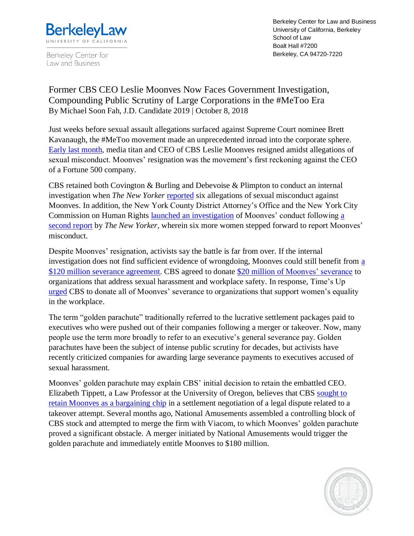

Berkeley Center for Law and Business

Berkeley Center for Law and Business University of California, Berkeley School of Law Boalt Hall #7200 Berkeley, CA 94720-7220

Former CBS CEO Leslie Moonves Now Faces Government Investigation, Compounding Public Scrutiny of Large Corporations in the #MeToo Era By Michael Soon Fah, J.D. Candidate 2019 | October 8, 2018

Just weeks before sexual assault allegations surfaced against Supreme Court nominee Brett Kavanaugh, the #MeToo movement made an unprecedented inroad into the corporate sphere. [Early last month,](https://www.washingtonpost.com/business/2018/09/09/cbs-head-les-moonves-faces-new-sexual-assault-accusations-six-more-women-report-says/?utm_term=.c1a9c3a07ec1) media titan and CEO of CBS Leslie Moonves resigned amidst allegations of sexual misconduct. Moonves' resignation was the movement's first reckoning against the CEO of a Fortune 500 company.

CBS retained both Covington & Burling and Debevoise & Plimpton to conduct an internal investigation when *The New Yorker* [reported](https://www.newyorker.com/magazine/2018/08/06/les-moonves-and-cbs-face-allegations-of-sexual-misconduct) six allegations of sexual misconduct against Moonves. In addition, the New York County District Attorney's Office and the New York City Commission on Human Rights [launched an investigation](https://www.reuters.com/article/us-cbs-moonves/cbs-faces-new-york-probe-tied-to-ex-ceo-leslie-moonves-idUSKCN1M82R0) of Moonves' conduct following [a](https://www.newyorker.com/news/news-desk/as-leslie-moonves-negotiates-his-exit-from-cbs-women-raise-new-assault-and-harassment-claims)  [second report](https://www.newyorker.com/news/news-desk/as-leslie-moonves-negotiates-his-exit-from-cbs-women-raise-new-assault-and-harassment-claims) by *The New Yorker*, wherein six more women stepped forward to report Moonves' misconduct.

Despite Moonves' resignation, activists say the battle is far from over. If the internal investigation does not find sufficient evidence of wrongdoing, Moonves could still benefit from [a](https://www.forbes.com/sites/danafeldman/2018/09/11/how-les-moonves-could-still-keep-his-120m-severance-package/#21c1b0c18390)  [\\$120 million severance agreement.](https://www.forbes.com/sites/danafeldman/2018/09/11/how-les-moonves-could-still-keep-his-120m-severance-package/#21c1b0c18390) CBS agreed to donate \$20 million of [Moonves' severance](https://www.huffingtonpost.com/entry/cbs-les-moonves-out_us_5b5b4455e4b0de86f496be08) to organizations that address sexual harassment and workplace safety. In response, Time's Up [urged](https://www.cbsnews.com/news/times-up-calls-on-cbs-to-donate-120-million-from-moonves-severance-to-sex-harassment-groups/) CBS to donate all of Moonves' severance to organizations that support women's equality in the workplace.

The term "golden parachute" traditionally referred to the lucrative settlement packages paid to executives who were pushed out of their companies following a merger or takeover. Now, many people use the term more broadly to refer to an executive's general severance pay. Golden parachutes have been the subject of intense public scrutiny for decades, but activists have recently criticized companies for awarding large severance payments to executives accused of sexual harassment.

Moonves' golden parachute may explain CBS' initial decision to retain the embattled CEO. Elizabeth Tippett, a Law Professor at the University of Oregon, believes that CBS sought to [retain Moonves as a bargaining chip](https://theconversation.com/how-les-moonves-got-to-leave-cbs-on-his-own-terms-while-others-in-metoo-miscreant-club-got-canned-103041) in a settlement negotiation of a legal dispute related to a takeover attempt. Several months ago, National Amusements assembled a controlling block of CBS stock and attempted to merge the firm with Viacom, to which Moonves' golden parachute proved a significant obstacle. A merger initiated by National Amusements would trigger the golden parachute and immediately entitle Moonves to \$180 million.